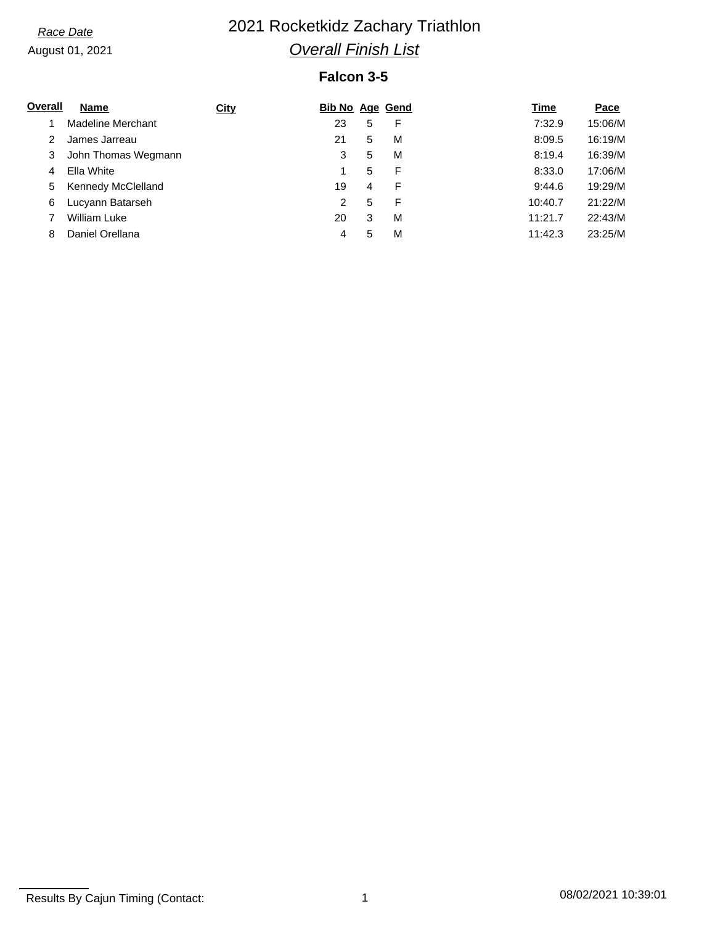# *Race Date* 2021 Rocketkidz Zachary Triathlon *Overall Finish List*

### **Falcon 3-5**

| Overall | <b>Name</b>         | <b>City</b> | <b>Bib No Age Gend</b> |   |   | Time    | Pace    |
|---------|---------------------|-------------|------------------------|---|---|---------|---------|
|         | Madeline Merchant   |             | 23                     | 5 | F | 7:32.9  | 15:06/M |
|         | James Jarreau       |             | 21                     | 5 | M | 8:09.5  | 16:19/M |
| 3       | John Thomas Wegmann |             | 3                      | 5 | M | 8:19.4  | 16:39/M |
| 4       | Ella White          |             |                        | 5 | F | 8:33.0  | 17:06/M |
| 5       | Kennedy McClelland  |             | 19                     | 4 | F | 9:44.6  | 19:29/M |
| 6       | Lucyann Batarseh    |             | $\overline{2}$         | 5 | F | 10:40.7 | 21:22/M |
|         | <b>William Luke</b> |             | 20                     | 3 | M | 11:21.7 | 22:43/M |
| 8       | Daniel Orellana     |             | 4                      | 5 | M | 11:42.3 | 23:25/M |

Results By Cajun Timing (Contact: 1 08/02/2021 10:39:01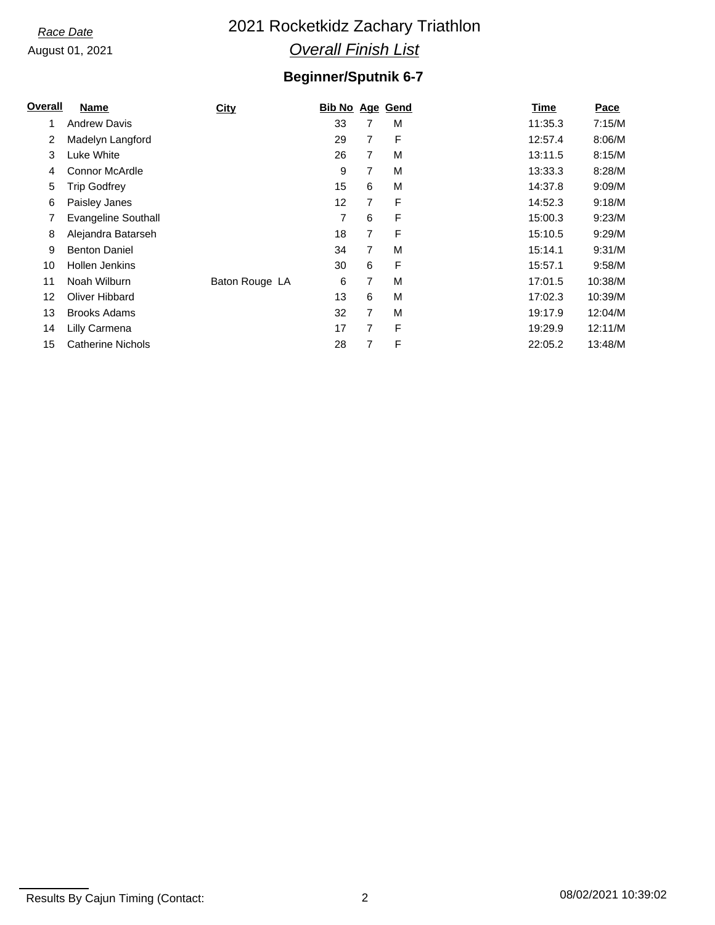## *Race Date* 2021 Rocketkidz Zachary Triathlon *Overall Finish List*

## **Beginner/Sputnik 6-7**

| <b>Overall</b> | Name                       | <b>City</b>    | <b>Bib No Age Gend</b> |   |   | <b>Time</b> | Pace    |
|----------------|----------------------------|----------------|------------------------|---|---|-------------|---------|
|                | <b>Andrew Davis</b>        |                | 33                     | 7 | M | 11:35.3     | 7:15/M  |
| 2              | Madelyn Langford           |                | 29                     | 7 | F | 12:57.4     | 8:06/M  |
| 3              | Luke White                 |                | 26                     | 7 | M | 13:11.5     | 8:15/M  |
| 4              | <b>Connor McArdle</b>      |                | 9                      | 7 | M | 13:33.3     | 8:28/M  |
| 5              | Trip Godfrey               |                | 15                     | 6 | M | 14:37.8     | 9:09/M  |
| 6              | Paisley Janes              |                | 12                     | 7 | F | 14:52.3     | 9:18/M  |
|                | <b>Evangeline Southall</b> |                | 7                      | 6 | F | 15:00.3     | 9:23/M  |
| 8              | Alejandra Batarseh         |                | 18                     | 7 | F | 15:10.5     | 9:29/M  |
| 9              | <b>Benton Daniel</b>       |                | 34                     | 7 | M | 15:14.1     | 9:31/M  |
| 10             | <b>Hollen Jenkins</b>      |                | 30                     | 6 | F | 15:57.1     | 9:58/M  |
| 11             | Noah Wilburn               | Baton Rouge LA | 6                      | 7 | M | 17:01.5     | 10:38/M |
| 12             | Oliver Hibbard             |                | 13                     | 6 | M | 17:02.3     | 10:39/M |
| 13             | <b>Brooks Adams</b>        |                | 32                     | 7 | M | 19:17.9     | 12:04/M |
| 14             | Lilly Carmena              |                | 17                     | 7 | F | 19:29.9     | 12:11/M |
| 15             | <b>Catherine Nichols</b>   |                | 28                     | 7 | F | 22:05.2     | 13:48/M |

Results By Cajun Timing (Contact: 2 08/02/2021 10:39:02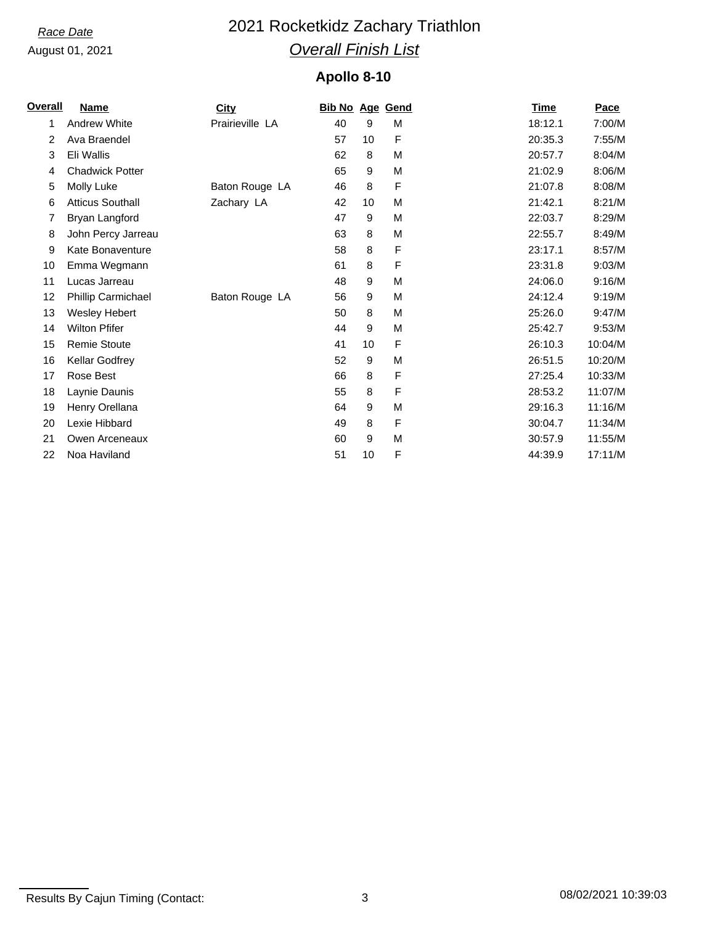# *Race Date* 2021 Rocketkidz Zachary Triathlon *Overall Finish List*

### **Apollo 8-10**

| Overall | Name                    | <b>City</b>     | <b>Bib No Age Gend</b> |    |   | <b>Time</b> | Pace    |
|---------|-------------------------|-----------------|------------------------|----|---|-------------|---------|
| 1       | <b>Andrew White</b>     | Prairieville LA | 40                     | 9  | М | 18:12.1     | 7:00/M  |
| 2       | Ava Braendel            |                 | 57                     | 10 | F | 20:35.3     | 7:55/M  |
| 3       | Eli Wallis              |                 | 62                     | 8  | M | 20:57.7     | 8:04/M  |
| 4       | <b>Chadwick Potter</b>  |                 | 65                     | 9  | M | 21:02.9     | 8:06/M  |
| 5       | Molly Luke              | Baton Rouge LA  | 46                     | 8  | F | 21:07.8     | 8:08/M  |
| 6       | <b>Atticus Southall</b> | Zachary LA      | 42                     | 10 | M | 21:42.1     | 8:21/M  |
| 7       | Bryan Langford          |                 | 47                     | 9  | M | 22:03.7     | 8:29/M  |
| 8       | John Percy Jarreau      |                 | 63                     | 8  | M | 22:55.7     | 8:49/M  |
| 9       | Kate Bonaventure        |                 | 58                     | 8  | F | 23:17.1     | 8:57/M  |
| 10      | Emma Wegmann            |                 | 61                     | 8  | F | 23:31.8     | 9:03/M  |
| 11      | Lucas Jarreau           |                 | 48                     | 9  | M | 24:06.0     | 9:16/M  |
| 12      | Phillip Carmichael      | Baton Rouge LA  | 56                     | 9  | M | 24:12.4     | 9:19/M  |
| 13      | <b>Wesley Hebert</b>    |                 | 50                     | 8  | M | 25:26.0     | 9:47/M  |
| 14      | <b>Wilton Pfifer</b>    |                 | 44                     | 9  | M | 25:42.7     | 9:53/M  |
| 15      | Remie Stoute            |                 | 41                     | 10 | F | 26:10.3     | 10:04/M |
| 16      | Kellar Godfrey          |                 | 52                     | 9  | M | 26:51.5     | 10:20/M |
| 17      | Rose Best               |                 | 66                     | 8  | F | 27:25.4     | 10:33/M |
| 18      | Laynie Daunis           |                 | 55                     | 8  | F | 28:53.2     | 11:07/M |
| 19      | Henry Orellana          |                 | 64                     | 9  | M | 29:16.3     | 11:16/M |
| 20      | Lexie Hibbard           |                 | 49                     | 8  | F | 30:04.7     | 11:34/M |
| 21      | Owen Arceneaux          |                 | 60                     | 9  | M | 30:57.9     | 11:55/M |
| 22      | Noa Haviland            |                 | 51                     | 10 | F | 44:39.9     | 17:11/M |

Results By Cajun Timing (Contact: 3 08/02/2021 10:39:03